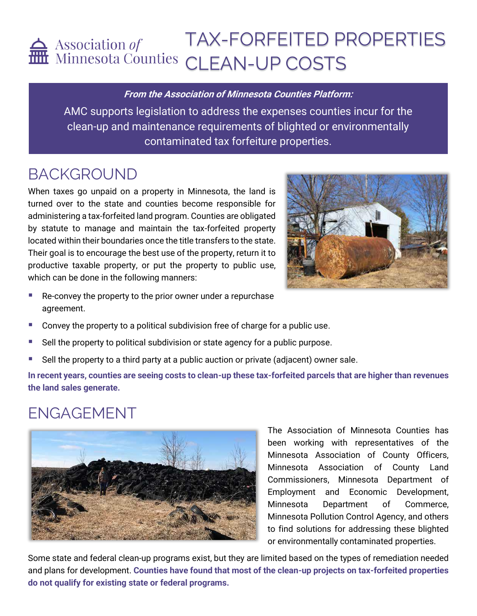# TAX-FORFEITED PROPERTIES Association of IAA-LUNILILL.

**From the Association of Minnesota Counties Platform:**

AMC supports legislation to address the expenses counties incur for the clean-up and maintenance requirements of blighted or environmentally contaminated tax forfeiture properties.

## BACKGROUND

When taxes go unpaid on a property in Minnesota, the land is turned over to the state and counties become responsible for administering a tax-forfeited land program. Counties are obligated by statute to manage and maintain the tax-forfeited property located within their boundaries once the title transfers to the state. Their goal is to encourage the best use of the property, return it to productive taxable property, or put the property to public use, which can be done in the following manners:



- Re-convey the property to the prior owner under a repurchase agreement.
- Convey the property to a political subdivision free of charge for a public use.
- Sell the property to political subdivision or state agency for a public purpose.
- Sell the property to a third party at a public auction or private (adjacent) owner sale.

**In recent years, counties are seeing costs to clean-up these tax-forfeited parcels that are higher than revenues the land sales generate.**

### ENGAGEMENT



The Association of Minnesota Counties has been working with representatives of the Minnesota Association of County Officers, Minnesota Association of County Land Commissioners, Minnesota Department of Employment and Economic Development, Minnesota Department of Commerce, Minnesota Pollution Control Agency, and others to find solutions for addressing these blighted or environmentally contaminated properties.

Some state and federal clean-up programs exist, but they are limited based on the types of remediation needed and plans for development. **Counties have found that most of the clean-up projects on tax-forfeited properties do not qualify for existing state or federal programs.**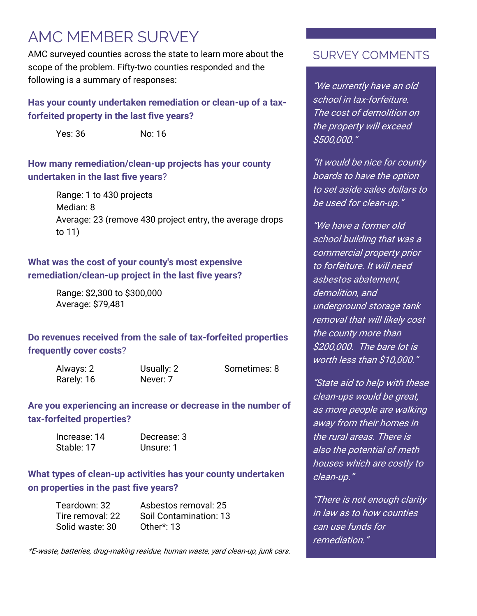### AMC MEMBER SURVEY

AMC surveyed counties across the state to learn more about the scope of the problem. Fifty-two counties responded and the following is a summary of responses:

#### **Has your county undertaken remediation or clean-up of a taxforfeited property in the last five years?**

Yes: 36 No: 16

#### **How many remediation/clean-up projects has your county undertaken in the last five years**?

Range: 1 to 430 projects Median: 8 Average: 23 (remove 430 project entry, the average drops to 11)

#### **What was the cost of your county's most expensive remediation/clean-up project in the last five years?**

Range: \$2,300 to \$300,000 Average: \$79,481

**Do revenues received from the sale of tax-forfeited properties frequently cover costs**?

Rarely: 16 Never: 7

Always: 2 Usually: 2 Sometimes: 8

**Are you experiencing an increase or decrease in the number of tax-forfeited properties?**

| Increase: 14 | Decrease: 3 |  |  |
|--------------|-------------|--|--|
| Stable: 17   | Unsure: 1   |  |  |

#### **What types of clean-up activities has your county undertaken on properties in the past five years?**

| Teardown: 32     | Asbestos removal: 25   |
|------------------|------------------------|
| Tire removal: 22 | Soil Contamination: 13 |
| Solid waste: 30  | Other*: 13             |

\*E-waste, batteries, drug-making residue, human waste, yard clean-up, junk cars.

### SURVEY COMMENTS

"We currently have an old school in tax-forfeiture. The cost of demolition on the property will exceed \$500,000."

"It would be nice for county boards to have the option to set aside sales dollars to be used for clean-up."

"We have a former old school building that was a commercial property prior to forfeiture. It will need asbestos abatement, demolition, and underground storage tank removal that will likely cost the county more than \$200,000. The bare lot is worth less than \$10,000."

"State aid to help with these clean-ups would be great, as more people are walking away from their homes in the rural areas. There is also the potential of meth houses which are costly to clean-up."

"There is not enough clarity in law as to how counties can use funds for remediation."